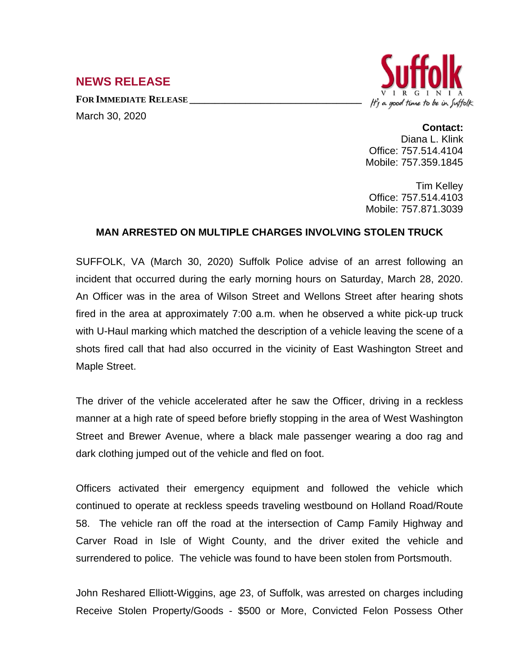## **NEWS RELEASE**

**FOR IMMEDIATE RELEASE \_\_\_\_\_\_\_\_\_\_\_\_\_\_\_\_\_\_\_\_\_\_\_\_\_\_\_\_\_\_\_\_\_\_**



## March 30, 2020

**Contact:** Diana L. Klink Office: 757.514.4104 Mobile: 757.359.1845

Tim Kelley Office: 757.514.4103 Mobile: 757.871.3039

## **MAN ARRESTED ON MULTIPLE CHARGES INVOLVING STOLEN TRUCK**

SUFFOLK, VA (March 30, 2020) Suffolk Police advise of an arrest following an incident that occurred during the early morning hours on Saturday, March 28, 2020. An Officer was in the area of Wilson Street and Wellons Street after hearing shots fired in the area at approximately 7:00 a.m. when he observed a white pick-up truck with U-Haul marking which matched the description of a vehicle leaving the scene of a shots fired call that had also occurred in the vicinity of East Washington Street and Maple Street.

The driver of the vehicle accelerated after he saw the Officer, driving in a reckless manner at a high rate of speed before briefly stopping in the area of West Washington Street and Brewer Avenue, where a black male passenger wearing a doo rag and dark clothing jumped out of the vehicle and fled on foot.

Officers activated their emergency equipment and followed the vehicle which continued to operate at reckless speeds traveling westbound on Holland Road/Route 58. The vehicle ran off the road at the intersection of Camp Family Highway and Carver Road in Isle of Wight County, and the driver exited the vehicle and surrendered to police. The vehicle was found to have been stolen from Portsmouth.

John Reshared Elliott-Wiggins, age 23, of Suffolk, was arrested on charges including Receive Stolen Property/Goods - \$500 or More, Convicted Felon Possess Other